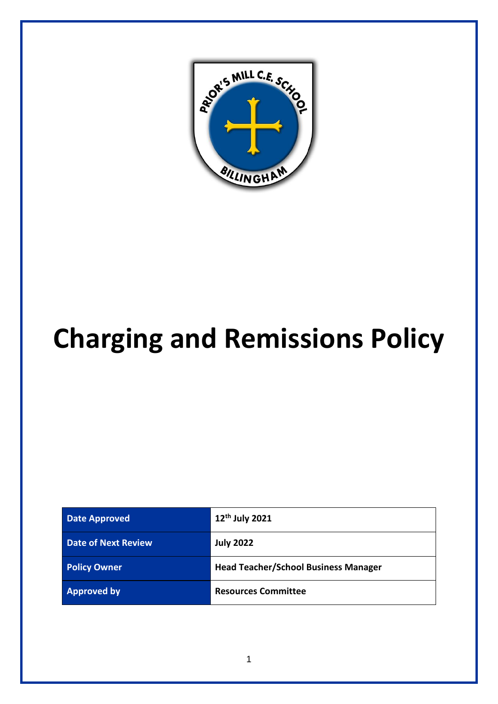

# **Charging and Remissions Policy**

| <b>Date Approved</b>       | 12 <sup>th</sup> July 2021                  |
|----------------------------|---------------------------------------------|
| <b>Date of Next Review</b> | <b>July 2022</b>                            |
| <b>Policy Owner</b>        | <b>Head Teacher/School Business Manager</b> |
| <b>Approved by</b>         | <b>Resources Committee</b>                  |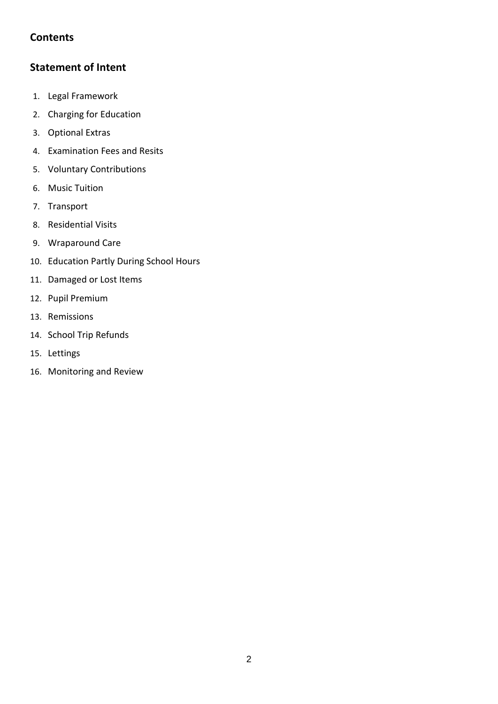# **Contents**

# **Statement of Intent**

- 1. Legal Framework
- 2. Charging for Education
- 3. Optional Extras
- 4. Examination Fees and Resits
- 5. Voluntary Contributions
- 6. Music Tuition
- 7. Transport
- 8. Residential Visits
- 9. Wraparound Care
- 10. Education Partly During School Hours
- 11. Damaged or Lost Items
- 12. Pupil Premium
- 13. Remissions
- 14. School Trip Refunds
- 15. Lettings
- 16. Monitoring and Review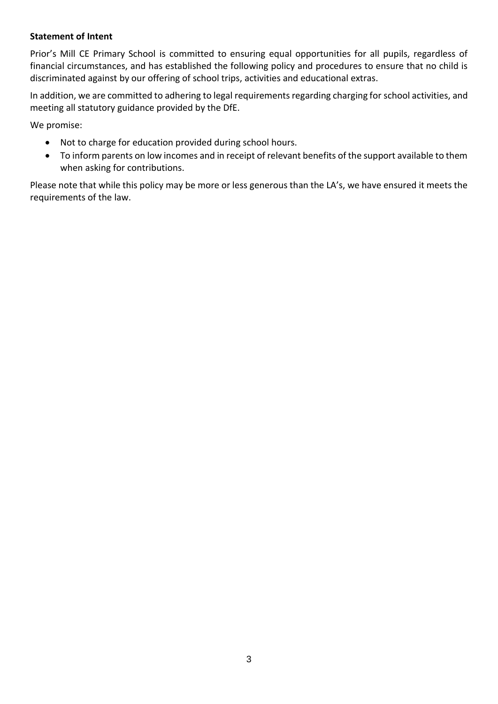#### **Statement of Intent**

Prior's Mill CE Primary School is committed to ensuring equal opportunities for all pupils, regardless of financial circumstances, and has established the following policy and procedures to ensure that no child is discriminated against by our offering of school trips, activities and educational extras.

In addition, we are committed to adhering to legal requirements regarding charging for school activities, and meeting all statutory guidance provided by the DfE.

We promise:

- Not to charge for education provided during school hours.
- To inform parents on low incomes and in receipt of relevant benefits of the support available to them when asking for contributions.

Please note that while this policy may be more or less generous than the LA's, we have ensured it meets the requirements of the law.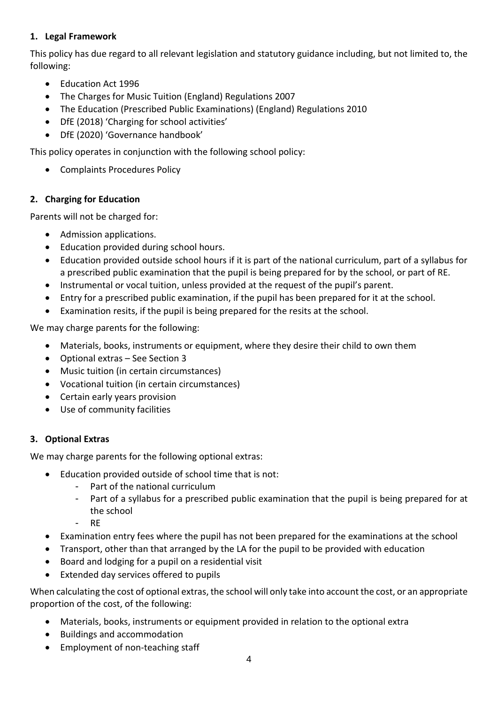## **1. Legal Framework**

This policy has due regard to all relevant legislation and statutory guidance including, but not limited to, the following:

- Education Act 1996
- The Charges for Music Tuition (England) Regulations 2007
- The Education (Prescribed Public Examinations) (England) Regulations 2010
- DfE (2018) 'Charging for school activities'
- DfE (2020) 'Governance handbook'

This policy operates in conjunction with the following school policy:

• Complaints Procedures Policy

## **2. Charging for Education**

Parents will not be charged for:

- Admission applications.
- Education provided during school hours.
- Education provided outside school hours if it is part of the national curriculum, part of a syllabus for a prescribed public examination that the pupil is being prepared for by the school, or part of RE.
- Instrumental or vocal tuition, unless provided at the request of the pupil's parent.
- Entry for a prescribed public examination, if the pupil has been prepared for it at the school.
- Examination resits, if the pupil is being prepared for the resits at the school.

We may charge parents for the following:

- Materials, books, instruments or equipment, where they desire their child to own them
- Optional extras See Section 3
- Music tuition (in certain circumstances)
- Vocational tuition (in certain circumstances)
- Certain early years provision
- Use of community facilities

## **3. Optional Extras**

We may charge parents for the following optional extras:

- Education provided outside of school time that is not:
	- Part of the national curriculum
	- Part of a syllabus for a prescribed public examination that the pupil is being prepared for at the school
	- RE
- Examination entry fees where the pupil has not been prepared for the examinations at the school
- Transport, other than that arranged by the LA for the pupil to be provided with education
- Board and lodging for a pupil on a residential visit
- Extended day services offered to pupils

When calculating the cost of optional extras, the school will only take into account the cost, or an appropriate proportion of the cost, of the following:

- Materials, books, instruments or equipment provided in relation to the optional extra
- Buildings and accommodation
- Employment of non-teaching staff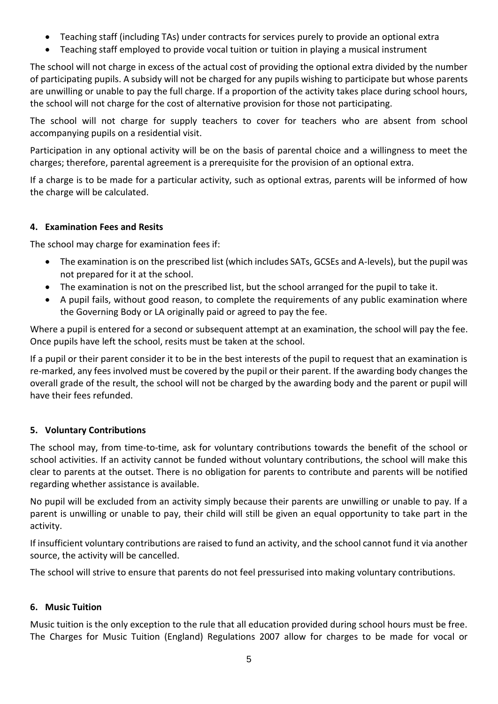- Teaching staff (including TAs) under contracts for services purely to provide an optional extra
- Teaching staff employed to provide vocal tuition or tuition in playing a musical instrument

The school will not charge in excess of the actual cost of providing the optional extra divided by the number of participating pupils. A subsidy will not be charged for any pupils wishing to participate but whose parents are unwilling or unable to pay the full charge. If a proportion of the activity takes place during school hours, the school will not charge for the cost of alternative provision for those not participating.

The school will not charge for supply teachers to cover for teachers who are absent from school accompanying pupils on a residential visit.

Participation in any optional activity will be on the basis of parental choice and a willingness to meet the charges; therefore, parental agreement is a prerequisite for the provision of an optional extra.

If a charge is to be made for a particular activity, such as optional extras, parents will be informed of how the charge will be calculated.

## **4. Examination Fees and Resits**

The school may charge for examination fees if:

- The examination is on the prescribed list (which includes SATs, GCSEs and A-levels), but the pupil was not prepared for it at the school.
- The examination is not on the prescribed list, but the school arranged for the pupil to take it.
- A pupil fails, without good reason, to complete the requirements of any public examination where the Governing Body or LA originally paid or agreed to pay the fee.

Where a pupil is entered for a second or subsequent attempt at an examination, the school will pay the fee. Once pupils have left the school, resits must be taken at the school.

If a pupil or their parent consider it to be in the best interests of the pupil to request that an examination is re-marked, any fees involved must be covered by the pupil or their parent. If the awarding body changes the overall grade of the result, the school will not be charged by the awarding body and the parent or pupil will have their fees refunded.

## **5. Voluntary Contributions**

The school may, from time-to-time, ask for voluntary contributions towards the benefit of the school or school activities. If an activity cannot be funded without voluntary contributions, the school will make this clear to parents at the outset. There is no obligation for parents to contribute and parents will be notified regarding whether assistance is available.

No pupil will be excluded from an activity simply because their parents are unwilling or unable to pay. If a parent is unwilling or unable to pay, their child will still be given an equal opportunity to take part in the activity.

If insufficient voluntary contributions are raised to fund an activity, and the school cannot fund it via another source, the activity will be cancelled.

The school will strive to ensure that parents do not feel pressurised into making voluntary contributions.

## **6. Music Tuition**

Music tuition is the only exception to the rule that all education provided during school hours must be free. The Charges for Music Tuition (England) Regulations 2007 allow for charges to be made for vocal or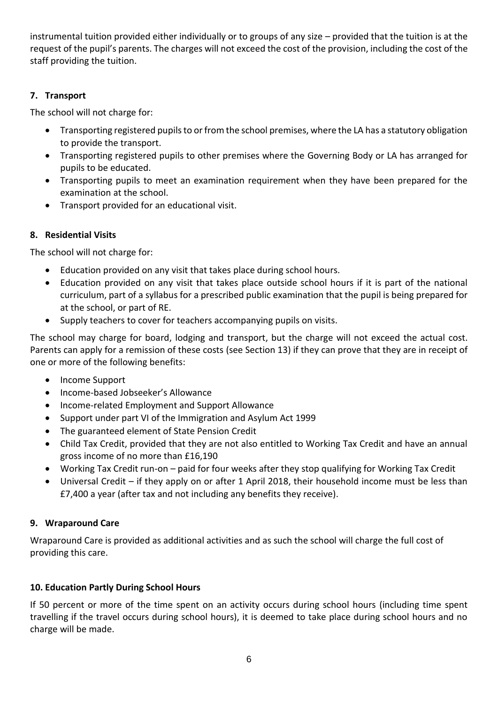instrumental tuition provided either individually or to groups of any size – provided that the tuition is at the request of the pupil's parents. The charges will not exceed the cost of the provision, including the cost of the staff providing the tuition.

## **7. Transport**

The school will not charge for:

- Transporting registered pupils to or from the school premises, where the LA has a statutory obligation to provide the transport.
- Transporting registered pupils to other premises where the Governing Body or LA has arranged for pupils to be educated.
- Transporting pupils to meet an examination requirement when they have been prepared for the examination at the school.
- Transport provided for an educational visit.

## **8. Residential Visits**

The school will not charge for:

- Education provided on any visit that takes place during school hours.
- Education provided on any visit that takes place outside school hours if it is part of the national curriculum, part of a syllabus for a prescribed public examination that the pupil is being prepared for at the school, or part of RE.
- Supply teachers to cover for teachers accompanying pupils on visits.

The school may charge for board, lodging and transport, but the charge will not exceed the actual cost. Parents can apply for a remission of these costs (see Section 13) if they can prove that they are in receipt of one or more of the following benefits:

- Income Support
- Income-based Jobseeker's Allowance
- Income-related Employment and Support Allowance
- Support under part VI of the Immigration and Asylum Act 1999
- The guaranteed element of State Pension Credit
- Child Tax Credit, provided that they are not also entitled to Working Tax Credit and have an annual gross income of no more than £16,190
- Working Tax Credit run-on paid for four weeks after they stop qualifying for Working Tax Credit
- Universal Credit if they apply on or after 1 April 2018, their household income must be less than £7,400 a year (after tax and not including any benefits they receive).

## **9. Wraparound Care**

Wraparound Care is provided as additional activities and as such the school will charge the full cost of providing this care.

## **10. Education Partly During School Hours**

If 50 percent or more of the time spent on an activity occurs during school hours (including time spent travelling if the travel occurs during school hours), it is deemed to take place during school hours and no charge will be made.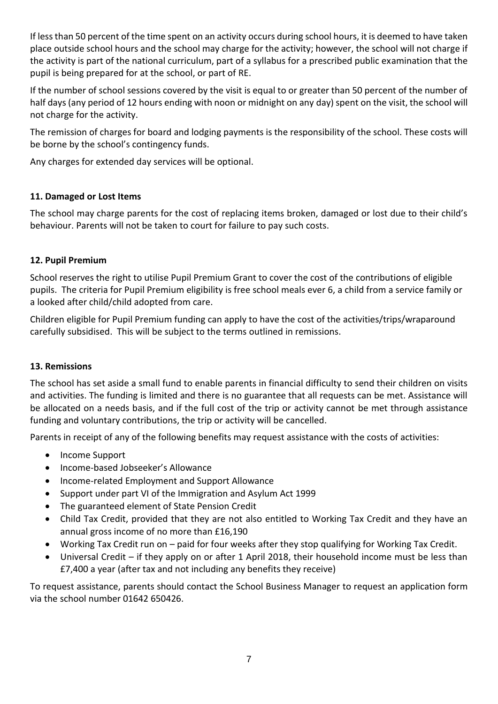If less than 50 percent of the time spent on an activity occurs during school hours, it is deemed to have taken place outside school hours and the school may charge for the activity; however, the school will not charge if the activity is part of the national curriculum, part of a syllabus for a prescribed public examination that the pupil is being prepared for at the school, or part of RE.

If the number of school sessions covered by the visit is equal to or greater than 50 percent of the number of half days (any period of 12 hours ending with noon or midnight on any day) spent on the visit, the school will not charge for the activity.

The remission of charges for board and lodging payments is the responsibility of the school. These costs will be borne by the school's contingency funds.

Any charges for extended day services will be optional.

## **11. Damaged or Lost Items**

The school may charge parents for the cost of replacing items broken, damaged or lost due to their child's behaviour. Parents will not be taken to court for failure to pay such costs.

## **12. Pupil Premium**

School reserves the right to utilise Pupil Premium Grant to cover the cost of the contributions of eligible pupils. The criteria for Pupil Premium eligibility is free school meals ever 6, a child from a service family or a looked after child/child adopted from care.

Children eligible for Pupil Premium funding can apply to have the cost of the activities/trips/wraparound carefully subsidised. This will be subject to the terms outlined in remissions.

## **13. Remissions**

The school has set aside a small fund to enable parents in financial difficulty to send their children on visits and activities. The funding is limited and there is no guarantee that all requests can be met. Assistance will be allocated on a needs basis, and if the full cost of the trip or activity cannot be met through assistance funding and voluntary contributions, the trip or activity will be cancelled.

Parents in receipt of any of the following benefits may request assistance with the costs of activities:

- Income Support
- Income-based Jobseeker's Allowance
- Income-related Employment and Support Allowance
- Support under part VI of the Immigration and Asylum Act 1999
- The guaranteed element of State Pension Credit
- Child Tax Credit, provided that they are not also entitled to Working Tax Credit and they have an annual gross income of no more than £16,190
- Working Tax Credit run on paid for four weeks after they stop qualifying for Working Tax Credit.
- Universal Credit if they apply on or after 1 April 2018, their household income must be less than £7,400 a year (after tax and not including any benefits they receive)

To request assistance, parents should contact the School Business Manager to request an application form via the school number 01642 650426.